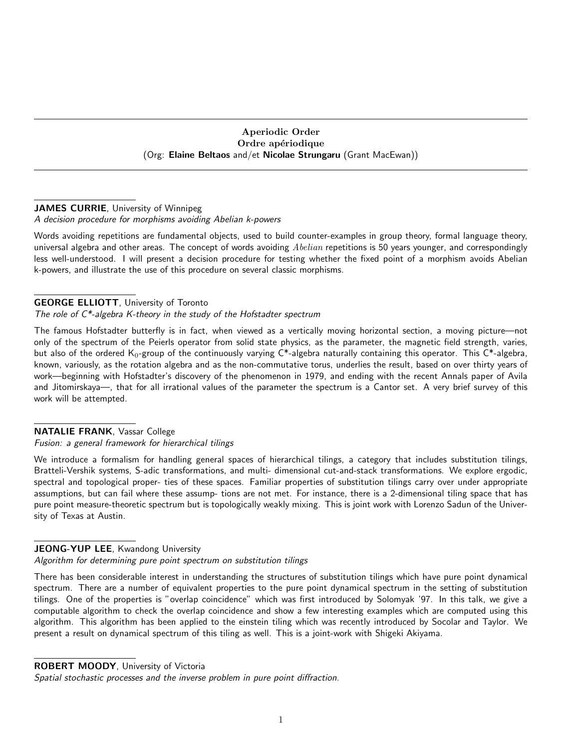Aperiodic Order Ordre apériodique (Org: Elaine Beltaos and/et Nicolae Strungaru (Grant MacEwan))

## JAMES CURRIE, University of Winnipeg

### A decision procedure for morphisms avoiding Abelian k-powers

Words avoiding repetitions are fundamental objects, used to build counter-examples in group theory, formal language theory, universal algebra and other areas. The concept of words avoiding  $Abelian$  repetitions is 50 years younger, and correspondingly less well-understood. I will present a decision procedure for testing whether the fixed point of a morphism avoids Abelian k-powers, and illustrate the use of this procedure on several classic morphisms.

### GEORGE ELLIOTT, University of Toronto

### The role of  $C^*$ -algebra K-theory in the study of the Hofstadter spectrum

The famous Hofstadter butterfly is in fact, when viewed as a vertically moving horizontal section, a moving picture—not only of the spectrum of the Peierls operator from solid state physics, as the parameter, the magnetic field strength, varies, but also of the ordered  $K_0$ -group of the continuously varying  $C^*$ -algebra naturally containing this operator. This  $C^*$ -algebra, known, variously, as the rotation algebra and as the non-commutative torus, underlies the result, based on over thirty years of work—beginning with Hofstadter's discovery of the phenomenon in 1979, and ending with the recent Annals paper of Avila and Jitomirskaya—, that for all irrational values of the parameter the spectrum is a Cantor set. A very brief survey of this work will be attempted.

### NATALIE FRANK, Vassar College

### Fusion: a general framework for hierarchical tilings

We introduce a formalism for handling general spaces of hierarchical tilings, a category that includes substitution tilings, Bratteli-Vershik systems, S-adic transformations, and multi- dimensional cut-and-stack transformations. We explore ergodic, spectral and topological proper- ties of these spaces. Familiar properties of substitution tilings carry over under appropriate assumptions, but can fail where these assump- tions are not met. For instance, there is a 2-dimensional tiling space that has pure point measure-theoretic spectrum but is topologically weakly mixing. This is joint work with Lorenzo Sadun of the University of Texas at Austin.

### JEONG-YUP LEE, Kwandong University

Algorithm for determining pure point spectrum on substitution tilings

There has been considerable interest in understanding the structures of substitution tilings which have pure point dynamical spectrum. There are a number of equivalent properties to the pure point dynamical spectrum in the setting of substitution tilings. One of the properties is "overlap coincidence" which was first introduced by Solomyak '97. In this talk, we give a computable algorithm to check the overlap coincidence and show a few interesting examples which are computed using this algorithm. This algorithm has been applied to the einstein tiling which was recently introduced by Socolar and Taylor. We present a result on dynamical spectrum of this tiling as well. This is a joint-work with Shigeki Akiyama.

ROBERT MOODY, University of Victoria

Spatial stochastic processes and the inverse problem in pure point diffraction.